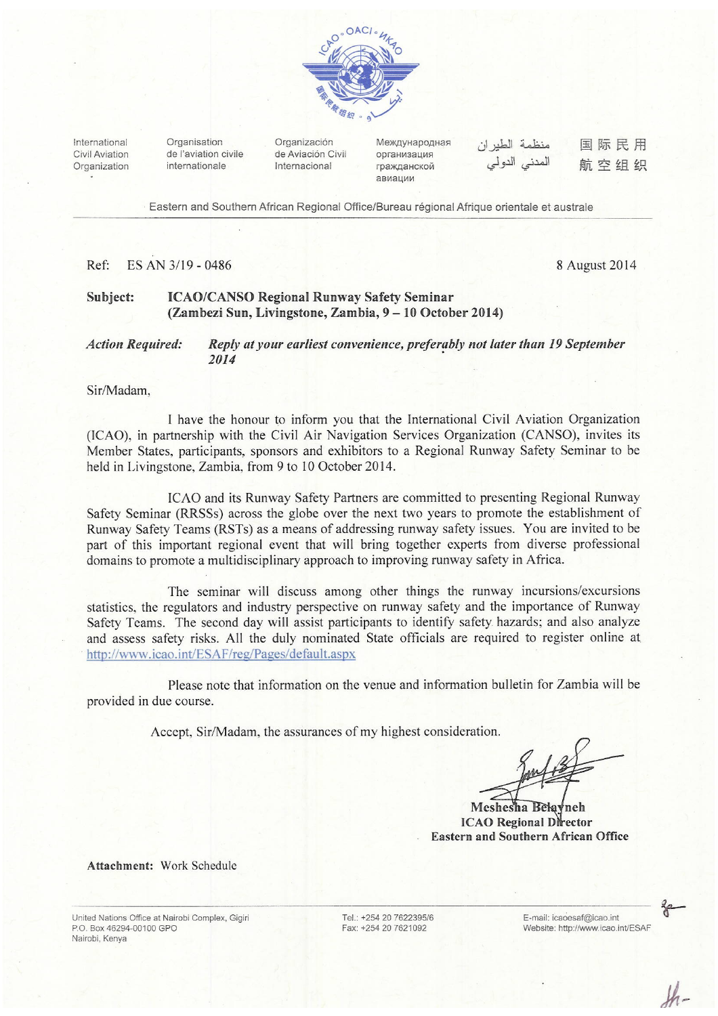

International Civil Aviation Organization

Organisation de l'aviation civile internationale

Organización de Aviación Civil Internacional

Международная организация гражданской авиации

منظمة الطيران المدنے الدو لے

国际民用 航空组织

Eastern and Southern African Regional Office/Bureau régional Afrique orientale et australe

#### Ref: ES AN 3/19 - 0486

8 August 2014

#### **ICAO/CANSO Regional Runway Safety Seminar** Subject: (Zambezi Sun, Livingstone, Zambia, 9 – 10 October 2014)

#### **Action Required:** Reply at your earliest convenience, preferably not later than 19 September 2014

Sir/Madam,

I have the honour to inform you that the International Civil Aviation Organization (ICAO), in partnership with the Civil Air Navigation Services Organization (CANSO), invites its Member States, participants, sponsors and exhibitors to a Regional Runway Safety Seminar to be held in Livingstone, Zambia, from 9 to 10 October 2014.

ICAO and its Runway Safety Partners are committed to presenting Regional Runway Safety Seminar (RRSSs) across the globe over the next two years to promote the establishment of Runway Safety Teams (RSTs) as a means of addressing runway safety issues. You are invited to be part of this important regional event that will bring together experts from diverse professional domains to promote a multidisciplinary approach to improving runway safety in Africa.

The seminar will discuss among other things the runway incursions/excursions statistics, the regulators and industry perspective on runway safety and the importance of Runway Safety Teams. The second day will assist participants to identify safety hazards; and also analyze and assess safety risks. All the duly nominated State officials are required to register online at http://www.icao.int/ESAF/reg/Pages/default.aspx

Please note that information on the venue and information bulletin for Zambia will be provided in due course.

Accept, Sir/Madam, the assurances of my highest consideration.

Jant

Meshesha Belayneh **ICAO Regional Director Eastern and Southern African Office** 

Attachment: Work Schedule

United Nations Office at Nairobi Complex, Gigiri P.O. Box 46294-00100 GPO Nairobi, Kenva

Tel.: +254 20 7622395/6 Fax: +254 20 7621092

E-mail: icaoesaf@icao.int Website: http://www.icao.int/ESAF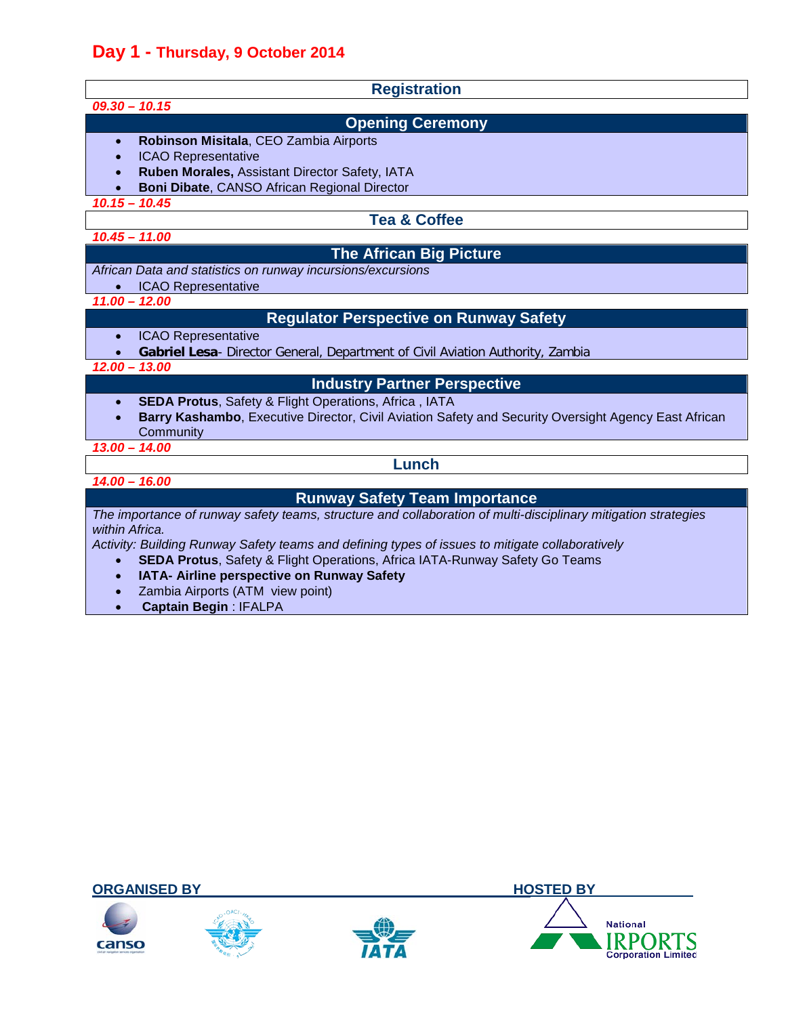# **Day 1 - Thursday, 9 October 2014**

| <b>Registration</b>                                                                                                                                                                                                                                                                                                                        |  |
|--------------------------------------------------------------------------------------------------------------------------------------------------------------------------------------------------------------------------------------------------------------------------------------------------------------------------------------------|--|
| $09.30 - 10.15$                                                                                                                                                                                                                                                                                                                            |  |
| <b>Opening Ceremony</b>                                                                                                                                                                                                                                                                                                                    |  |
| Robinson Misitala, CEO Zambia Airports<br>$\bullet$<br><b>ICAO Representative</b><br>Ruben Morales, Assistant Director Safety, IATA<br>Boni Dibate, CANSO African Regional Director                                                                                                                                                        |  |
| $10.15 - 10.45$                                                                                                                                                                                                                                                                                                                            |  |
| <b>Tea &amp; Coffee</b>                                                                                                                                                                                                                                                                                                                    |  |
| $10.45 - 11.00$                                                                                                                                                                                                                                                                                                                            |  |
| <b>The African Big Picture</b>                                                                                                                                                                                                                                                                                                             |  |
| African Data and statistics on runway incursions/excursions<br><b>ICAO Representative</b>                                                                                                                                                                                                                                                  |  |
| $11.00 - 12.00$                                                                                                                                                                                                                                                                                                                            |  |
| <b>Regulator Perspective on Runway Safety</b>                                                                                                                                                                                                                                                                                              |  |
| <b>ICAO Representative</b><br>$\bullet$<br>Gabriel Lesa- Director General, Department of Civil Aviation Authority, Zambia<br>$12.00 - 13.00$                                                                                                                                                                                               |  |
| <b>Industry Partner Perspective</b>                                                                                                                                                                                                                                                                                                        |  |
| <b>SEDA Protus, Safety &amp; Flight Operations, Africa, IATA</b><br>$\bullet$<br>Barry Kashambo, Executive Director, Civil Aviation Safety and Security Oversight Agency East African<br>Community<br>$13.00 - 14.00$                                                                                                                      |  |
| Lunch                                                                                                                                                                                                                                                                                                                                      |  |
| $14.00 - 16.00$                                                                                                                                                                                                                                                                                                                            |  |
| <b>Runway Safety Team Importance</b>                                                                                                                                                                                                                                                                                                       |  |
| The importance of runway safety teams, structure and collaboration of multi-disciplinary mitigation strategies<br>within Africa.<br>Activity: Building Runway Safety teams and defining types of issues to mitigate collaboratively<br><b>SEDA Protus, Safety &amp; Flight Operations, Africa IATA-Runway Safety Go Teams</b><br>$\bullet$ |  |

- **IATA- Airline perspective on Runway Safety**
- Zambia Airports (ATM view point)<br>• Captain Begin : IFALPA
- **Captain Begin** : IFALPA

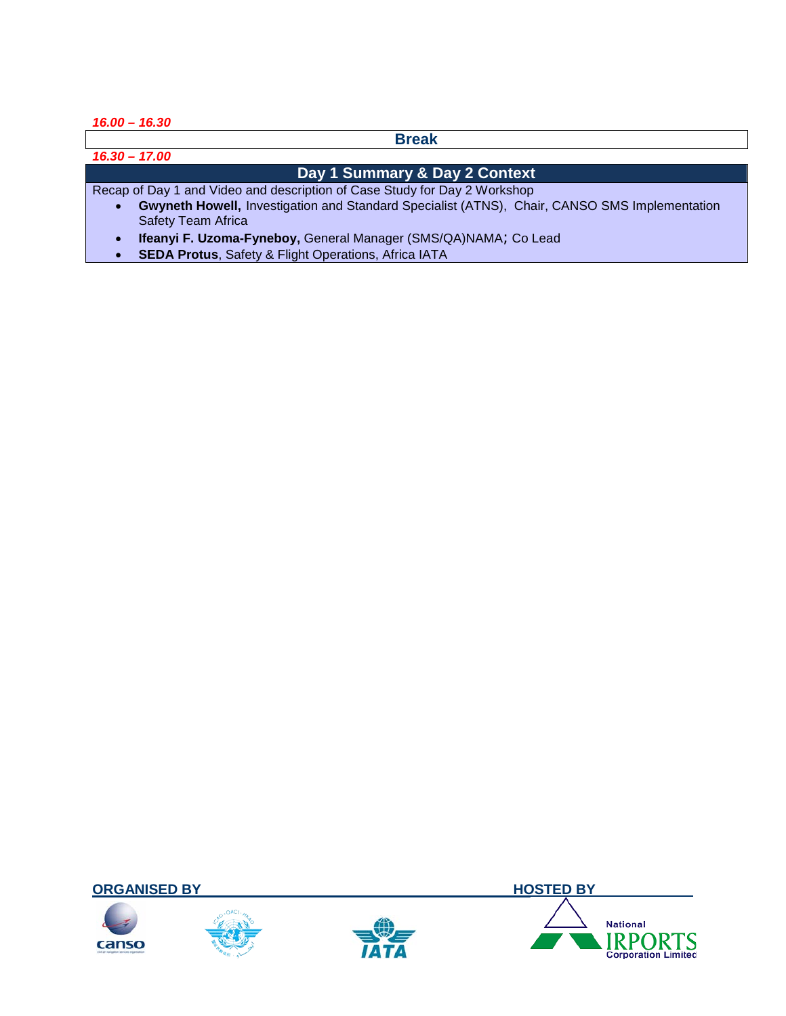*16.00 – 16.30*

**Break**

*16.30 – 17.00*

# **Day 1 Summary & Day 2 Context**

Recap of Day 1 and Video and description of Case Study for Day 2 Workshop

- **Gwyneth Howell,** Investigation and Standard Specialist (ATNS), Chair, CANSO SMS Implementation Safety Team Africa
- **Ifeanyi F. Uzoma-Fyneboy,** General Manager (SMS/QA)NAMA; Co Lead
- **SEDA Protus**, Safety & Flight Operations, Africa IATA

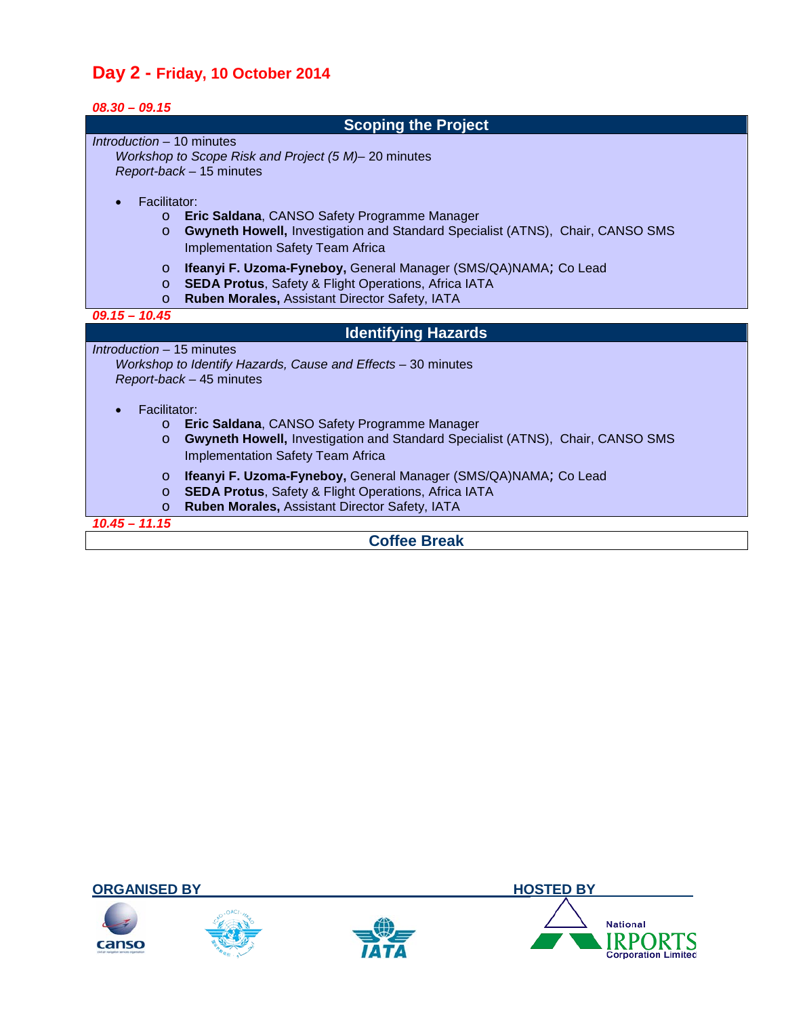# **Day 2 - Friday, 10 October 2014**

| $08.30 - 09.15$                                                                           |  |  |
|-------------------------------------------------------------------------------------------|--|--|
| <b>Scoping the Project</b>                                                                |  |  |
| Introduction – 10 minutes                                                                 |  |  |
| Workshop to Scope Risk and Project (5 M)-20 minutes                                       |  |  |
| Report-back - 15 minutes                                                                  |  |  |
| Facilitator:                                                                              |  |  |
| Eric Saldana, CANSO Safety Programme Manager<br>$\circ$                                   |  |  |
| Gwyneth Howell, Investigation and Standard Specialist (ATNS), Chair, CANSO SMS<br>$\circ$ |  |  |
| <b>Implementation Safety Team Africa</b>                                                  |  |  |
| Ifeanyi F. Uzoma-Fyneboy, General Manager (SMS/QA)NAMA; Co Lead<br>$\circ$                |  |  |
| <b>SEDA Protus, Safety &amp; Flight Operations, Africa IATA</b><br>$\circ$                |  |  |
| Ruben Morales, Assistant Director Safety, IATA<br>$\circ$                                 |  |  |
| $09.15 - 10.45$                                                                           |  |  |
| <b>Identifying Hazards</b>                                                                |  |  |
| Introduction – 15 minutes                                                                 |  |  |
| Workshop to Identify Hazards, Cause and Effects - 30 minutes                              |  |  |
| Report-back - 45 minutes                                                                  |  |  |
| Facilitator:                                                                              |  |  |
| Eric Saldana, CANSO Safety Programme Manager<br>$\circ$                                   |  |  |
| Gwyneth Howell, Investigation and Standard Specialist (ATNS), Chair, CANSO SMS<br>$\circ$ |  |  |
| Implementation Safety Team Africa                                                         |  |  |
| Ifeanyi F. Uzoma-Fyneboy, General Manager (SMS/QA)NAMA; Co Lead<br>$\circ$                |  |  |
| <b>SEDA Protus, Safety &amp; Flight Operations, Africa IATA</b><br>$\circ$                |  |  |
| Ruben Morales, Assistant Director Safety, IATA<br>$\circ$                                 |  |  |
| $10.45 - 11.15$                                                                           |  |  |
| Caffon Drook                                                                              |  |  |



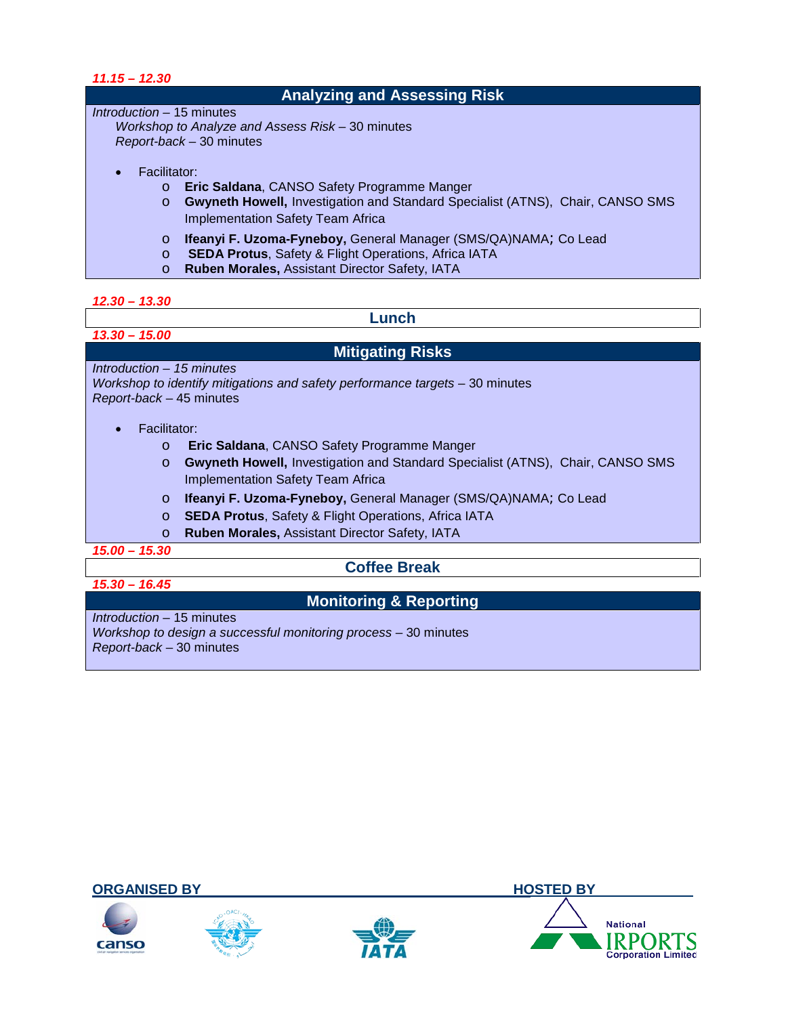| $11.15 - 12.30$                     |                                                                                                                                                                                             |  |
|-------------------------------------|---------------------------------------------------------------------------------------------------------------------------------------------------------------------------------------------|--|
| <b>Analyzing and Assessing Risk</b> |                                                                                                                                                                                             |  |
| Introduction – 15 minutes           |                                                                                                                                                                                             |  |
|                                     | Workshop to Analyze and Assess Risk – 30 minutes                                                                                                                                            |  |
| Report-back - 30 minutes            |                                                                                                                                                                                             |  |
|                                     |                                                                                                                                                                                             |  |
| Facilitator:                        |                                                                                                                                                                                             |  |
| $\circ$                             | <b>Eric Saldana, CANSO Safety Programme Manger</b>                                                                                                                                          |  |
| $\circ$                             | <b>Gwyneth Howell, Investigation and Standard Specialist (ATNS), Chair, CANSO SMS</b>                                                                                                       |  |
|                                     | <b>Implementation Safety Team Africa</b>                                                                                                                                                    |  |
|                                     |                                                                                                                                                                                             |  |
|                                     |                                                                                                                                                                                             |  |
|                                     |                                                                                                                                                                                             |  |
| $\circ$<br>$\circ$<br>$\circ$       | <b>Ifeanyi F. Uzoma-Fyneboy, General Manager (SMS/QA)NAMA; Co Lead</b><br><b>SEDA Protus, Safety &amp; Flight Operations, Africa IATA</b><br>Ruben Morales, Assistant Director Safety, IATA |  |

#### *12.30 – 13.30*

*13.30 – 15.00*

### **Lunch**

# **Mitigating Risks**

*Introduction – 15 minutes Workshop to identify mitigations and safety performance targets* – 30 minutes *Report-back* – 45 minutes

- Facilitator:
	- o **Eric Saldana**, CANSO Safety Programme Manger
	- o **Gwyneth Howell,** Investigation and Standard Specialist (ATNS), Chair, CANSO SMS Implementation Safety Team Africa
	- o **Ifeanyi F. Uzoma-Fyneboy,** General Manager (SMS/QA)NAMA; Co Lead
	- o **SEDA Protus**, Safety & Flight Operations, Africa IATA
	- o **Ruben Morales,** Assistant Director Safety, IATA

*15.00 – 15.30*

*15.30 – 16.45*

# **Coffee Break**

# **Monitoring & Reporting**

*Introduction* – 15 minutes *Workshop to design a successful monitoring process* – 30 minutes *Report-back* – 30 minutes